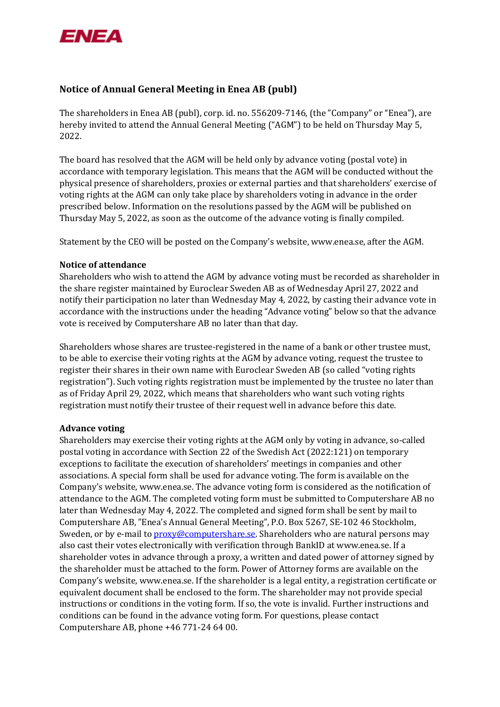

# **Notice of Annual General Meeting in Enea AB (publ)**

The shareholders in Enea AB (publ), corp. id. no. 556209-7146, (the "Company" or "Enea"), are hereby invited to attend the Annual General Meeting ("AGM") to be held on Thursday May 5, 2022.

The board has resolved that the AGM will be held only by advance voting (postal vote) in accordance with temporary legislation. This means that the AGM will be conducted without the physical presence of shareholders, proxies or external parties and that shareholders' exercise of voting rights at the AGM can only take place by shareholders voting in advance in the order prescribed below. Information on the resolutions passed by the AGM will be published on Thursday May 5, 2022, as soon as the outcome of the advance voting is finally compiled.

Statement by the CEO will be posted on the Company's website[, www.enea.se,](http://www.enea.se/) after the AGM.

## **Notice of attendance**

Shareholders who wish to attend the AGM by advance voting must be recorded as shareholder in the share register maintained by Euroclear Sweden AB as of Wednesday April 27, 2022 and notify their participation no later than Wednesday May 4, 2022, by casting their advance vote in accordance with the instructions under the heading "Advance voting" below so that the advance vote is received by Computershare AB no later than that day.

Shareholders whose shares are trustee-registered in the name of a bank or other trustee must, to be able to exercise their voting rights at the AGM by advance voting, request the trustee to register their shares in their own name with Euroclear Sweden AB (so called "voting rights registration"). Such voting rights registration must be implemented by the trustee no later than as of Friday April 29, 2022, which means that shareholders who want such voting rights registration must notify their trustee of their request well in advance before this date.

### **Advance voting**

Shareholders may exercise their voting rights at the AGM only by voting in advance, so-called postal voting in accordance with Section 22 of the Swedish Act (2022:121) on temporary exceptions to facilitate the execution of shareholders' meetings in companies and other associations. A special form shall be used for advance voting. The form is available on the Company's website, [www.enea.se.](http://www.enea.se/) The advance voting form is considered as the notification of attendance to the AGM. The completed voting form must be submitted to Computershare AB no later than Wednesday May 4, 2022. The completed and signed form shall be sent by mail to Computershare AB, "Enea's Annual General Meeting", P.O. Box 5267, SE-102 46 Stockholm, Sweden, or by e-mail to **proxy@computershare.se**. Shareholders who are natural persons may also cast their votes electronically with verification through BankID at [www.enea.se.](http://www.enea.se/) If a shareholder votes in advance through a proxy, a written and dated power of attorney signed by the shareholder must be attached to the form. Power of Attorney forms are available on the Company's website, [www.enea.se.](http://www.enea.se/) If the shareholder is a legal entity, a registration certificate or equivalent document shall be enclosed to the form. The shareholder may not provide special instructions or conditions in the voting form. If so, the vote is invalid. Further instructions and conditions can be found in the advance voting form. For questions, please contact Computershare AB, phone +46 771-24 64 00.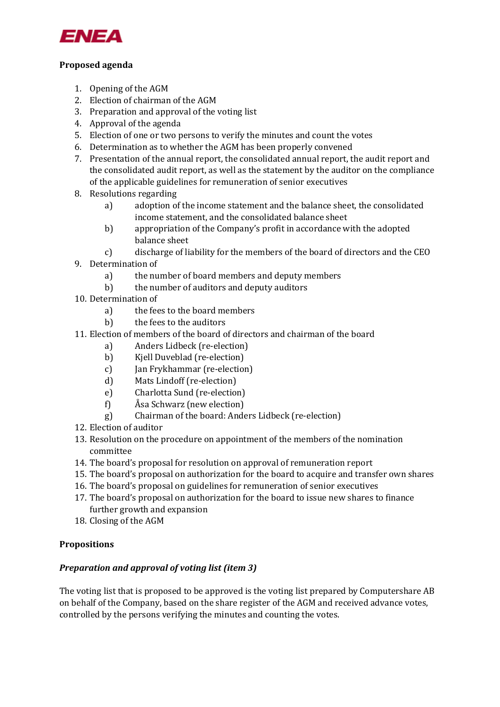

# **Proposed agenda**

- 1. Opening of the AGM
- 2. Election of chairman of the AGM
- 3. Preparation and approval of the voting list
- 4. Approval of the agenda
- 5. Election of one or two persons to verify the minutes and count the votes
- 6. Determination as to whether the AGM has been properly convened
- 7. Presentation of the annual report, the consolidated annual report, the audit report and the consolidated audit report, as well as the statement by the auditor on the compliance of the applicable guidelines for remuneration of senior executives
- 8. Resolutions regarding
	- a) adoption of the income statement and the balance sheet, the consolidated income statement, and the consolidated balance sheet
	- b) appropriation of the Company's profit in accordance with the adopted balance sheet
	- c) discharge of liability for the members of the board of directors and the CEO
- 9. Determination of
	- a) the number of board members and deputy members
	- b) the number of auditors and deputy auditors
- 10. Determination of
	- a) the fees to the board members
	- b) the fees to the auditors
- 11. Election of members of the board of directors and chairman of the board
	- a) Anders Lidbeck (re-election)
	- b) Kjell Duveblad (re-election)
	- c) Jan Frykhammar (re-election)
	- d) Mats Lindoff (re-election)
	- e) Charlotta Sund (re-election)
	- f) Åsa Schwarz (new election)
	- g) Chairman of the board: Anders Lidbeck (re-election)
- 12. Election of auditor
- 13. Resolution on the procedure on appointment of the members of the nomination committee
- 14. The board's proposal for resolution on approval of remuneration report
- 15. The board's proposal on authorization for the board to acquire and transfer own shares
- 16. The board's proposal on guidelines for remuneration of senior executives
- 17. The board's proposal on authorization for the board to issue new shares to finance further growth and expansion
- 18. Closing of the AGM

## **Propositions**

# *Preparation and approval of voting list (item 3)*

The voting list that is proposed to be approved is the voting list prepared by Computershare AB on behalf of the Company, based on the share register of the AGM and received advance votes, controlled by the persons verifying the minutes and counting the votes.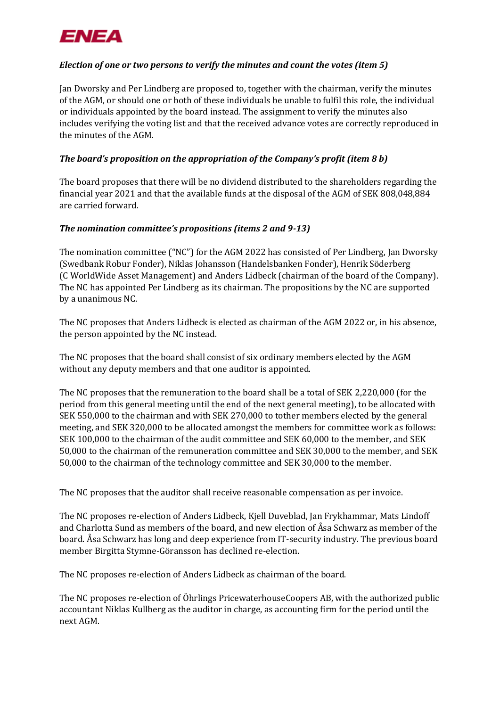

# *Election of one or two persons to verify the minutes and count the votes (item 5)*

Jan Dworsky and Per Lindberg are proposed to, together with the chairman, verify the minutes of the AGM, or should one or both of these individuals be unable to fulfil this role, the individual or individuals appointed by the board instead. The assignment to verify the minutes also includes verifying the voting list and that the received advance votes are correctly reproduced in the minutes of the AGM.

# *The board's proposition on the appropriation of the Company's profit (item 8 b)*

The board proposes that there will be no dividend distributed to the shareholders regarding the financial year 2021 and that the available funds at the disposal of the AGM of SEK 808,048,884 are carried forward.

## *The nomination committee's propositions (items 2 and 9-13)*

The nomination committee ("NC") for the AGM 2022 has consisted of Per Lindberg, Jan Dworsky (Swedbank Robur Fonder), Niklas Johansson (Handelsbanken Fonder), Henrik Söderberg (C WorldWide Asset Management) and Anders Lidbeck (chairman of the board of the Company). The NC has appointed Per Lindberg as its chairman. The propositions by the NC are supported by a unanimous NC.

The NC proposes that Anders Lidbeck is elected as chairman of the AGM 2022 or, in his absence, the person appointed by the NC instead.

The NC proposes that the board shall consist of six ordinary members elected by the AGM without any deputy members and that one auditor is appointed.

The NC proposes that the remuneration to the board shall be a total of SEK 2,220,000 (for the period from this general meeting until the end of the next general meeting), to be allocated with SEK 550,000 to the chairman and with SEK 270,000 to tother members elected by the general meeting, and SEK 320,000 to be allocated amongst the members for committee work as follows: SEK 100,000 to the chairman of the audit committee and SEK 60,000 to the member, and SEK 50,000 to the chairman of the remuneration committee and SEK 30,000 to the member, and SEK 50,000 to the chairman of the technology committee and SEK 30,000 to the member.

The NC proposes that the auditor shall receive reasonable compensation as per invoice.

The NC proposes re-election of Anders Lidbeck, Kjell Duveblad, Jan Frykhammar, Mats Lindoff and Charlotta Sund as members of the board, and new election of Åsa Schwarz as member of the board. Åsa Schwarz has long and deep experience from IT-security industry. The previous board member Birgitta Stymne-Göransson has declined re-election.

The NC proposes re-election of Anders Lidbeck as chairman of the board.

The NC proposes re-election of Öhrlings PricewaterhouseCoopers AB, with the authorized public accountant Niklas Kullberg as the auditor in charge, as accounting firm for the period until the next AGM.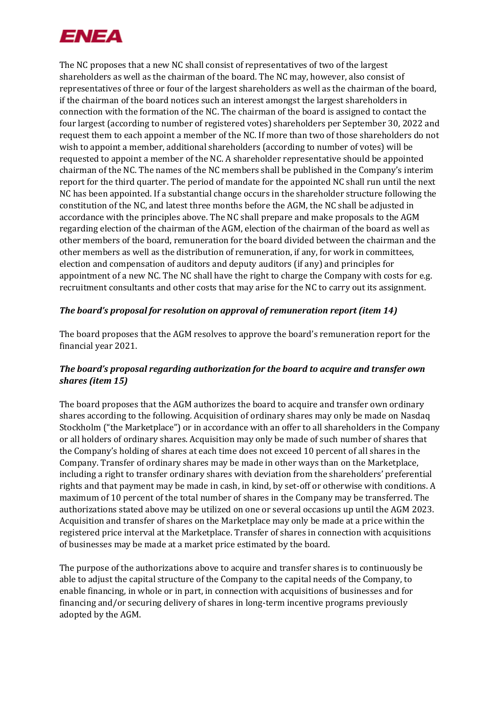

The NC proposes that a new NC shall consist of representatives of two of the largest shareholders as well as the chairman of the board. The NC may, however, also consist of representatives of three or four of the largest shareholders as well as the chairman of the board, if the chairman of the board notices such an interest amongst the largest shareholders in connection with the formation of the NC. The chairman of the board is assigned to contact the four largest (according to number of registered votes) shareholders per September 30, 2022 and request them to each appoint a member of the NC. If more than two of those shareholders do not wish to appoint a member, additional shareholders (according to number of votes) will be requested to appoint a member of the NC. A shareholder representative should be appointed chairman of the NC. The names of the NC members shall be published in the Company's interim report for the third quarter. The period of mandate for the appointed NC shall run until the next NC has been appointed. If a substantial change occurs in the shareholder structure following the constitution of the NC, and latest three months before the AGM, the NC shall be adjusted in accordance with the principles above. The NC shall prepare and make proposals to the AGM regarding election of the chairman of the AGM, election of the chairman of the board as well as other members of the board, remuneration for the board divided between the chairman and the other members as well as the distribution of remuneration, if any, for work in committees, election and compensation of auditors and deputy auditors (if any) and principles for appointment of a new NC. The NC shall have the right to charge the Company with costs for e.g. recruitment consultants and other costs that may arise for the NC to carry out its assignment.

## *The board's proposal for resolution on approval of remuneration report (item 14)*

The board proposes that the AGM resolves to approve the board's remuneration report for the financial year 2021.

# *The board's proposal regarding authorization for the board to acquire and transfer own shares (item 15)*

The board proposes that the AGM authorizes the board to acquire and transfer own ordinary shares according to the following. Acquisition of ordinary shares may only be made on Nasdaq Stockholm ("the Marketplace") or in accordance with an offer to all shareholders in the Company or all holders of ordinary shares. Acquisition may only be made of such number of shares that the Company's holding of shares at each time does not exceed 10 percent of all shares in the Company. Transfer of ordinary shares may be made in other ways than on the Marketplace, including a right to transfer ordinary shares with deviation from the shareholders' preferential rights and that payment may be made in cash, in kind, by set-off or otherwise with conditions. A maximum of 10 percent of the total number of shares in the Company may be transferred. The authorizations stated above may be utilized on one or several occasions up until the AGM 2023. Acquisition and transfer of shares on the Marketplace may only be made at a price within the registered price interval at the Marketplace. Transfer of shares in connection with acquisitions of businesses may be made at a market price estimated by the board.

The purpose of the authorizations above to acquire and transfer shares is to continuously be able to adjust the capital structure of the Company to the capital needs of the Company, to enable financing, in whole or in part, in connection with acquisitions of businesses and for financing and/or securing delivery of shares in long-term incentive programs previously adopted by the AGM.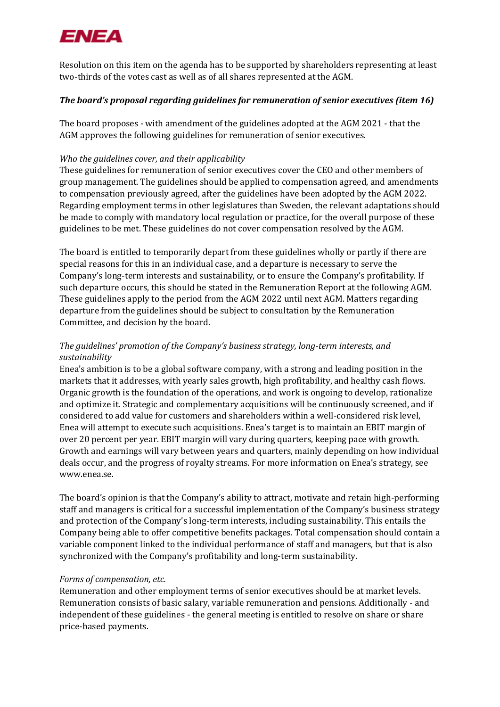

Resolution on this item on the agenda has to be supported by shareholders representing at least two-thirds of the votes cast as well as of all shares represented at the AGM.

## *The board's proposal regarding guidelines for remuneration of senior executives (item 16)*

The board proposes - with amendment of the guidelines adopted at the AGM 2021 - that the AGM approves the following guidelines for remuneration of senior executives.

# *Who the guidelines cover, and their applicability*

These guidelines for remuneration of senior executives cover the CEO and other members of group management. The guidelines should be applied to compensation agreed, and amendments to compensation previously agreed, after the guidelines have been adopted by the AGM 2022. Regarding employment terms in other legislatures than Sweden, the relevant adaptations should be made to comply with mandatory local regulation or practice, for the overall purpose of these guidelines to be met. These guidelines do not cover compensation resolved by the AGM.

The board is entitled to temporarily depart from these guidelines wholly or partly if there are special reasons for this in an individual case, and a departure is necessary to serve the Company's long-term interests and sustainability, or to ensure the Company's profitability. If such departure occurs, this should be stated in the Remuneration Report at the following AGM. These guidelines apply to the period from the AGM 2022 until next AGM. Matters regarding departure from the guidelines should be subject to consultation by the Remuneration Committee, and decision by the board.

# *The guidelines' promotion of the Company's business strategy, long-term interests, and sustainability*

Enea's ambition is to be a global software company, with a strong and leading position in the markets that it addresses, with yearly sales growth, high profitability, and healthy cash flows. Organic growth is the foundation of the operations, and work is ongoing to develop, rationalize and optimize it. Strategic and complementary acquisitions will be continuously screened, and if considered to add value for customers and shareholders within a well-considered risk level, Enea will attempt to execute such acquisitions. Enea's target is to maintain an EBIT margin of over 20 percent per year. EBIT margin will vary during quarters, keeping pace with growth. Growth and earnings will vary between years and quarters, mainly depending on how individual deals occur, and the progress of royalty streams. For more information on Enea's strategy, see [www.enea.se.](http://www.enea.se/)

The board's opinion is that the Company's ability to attract, motivate and retain high-performing staff and managers is critical for a successful implementation of the Company's business strategy and protection of the Company's long-term interests, including sustainability. This entails the Company being able to offer competitive benefits packages. Total compensation should contain a variable component linked to the individual performance of staff and managers, but that is also synchronized with the Company's profitability and long-term sustainability.

## *Forms of compensation, etc.*

Remuneration and other employment terms of senior executives should be at market levels. Remuneration consists of basic salary, variable remuneration and pensions. Additionally - and independent of these guidelines - the general meeting is entitled to resolve on share or share price-based payments.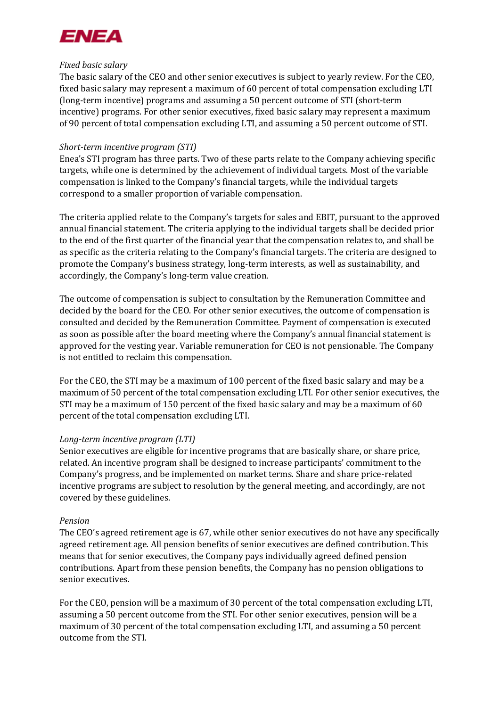

## *Fixed basic salary*

The basic salary of the CEO and other senior executives is subject to yearly review. For the CEO, fixed basic salary may represent a maximum of 60 percent of total compensation excluding LTI (long-term incentive) programs and assuming a 50 percent outcome of STI (short-term incentive) programs. For other senior executives, fixed basic salary may represent a maximum of 90 percent of total compensation excluding LTI, and assuming a 50 percent outcome of STI.

## *Short-term incentive program (STI)*

Enea's STI program has three parts. Two of these parts relate to the Company achieving specific targets, while one is determined by the achievement of individual targets. Most of the variable compensation is linked to the Company's financial targets, while the individual targets correspond to a smaller proportion of variable compensation.

The criteria applied relate to the Company's targets for sales and EBIT, pursuant to the approved annual financial statement. The criteria applying to the individual targets shall be decided prior to the end of the first quarter of the financial year that the compensation relates to, and shall be as specific as the criteria relating to the Company's financial targets. The criteria are designed to promote the Company's business strategy, long-term interests, as well as sustainability, and accordingly, the Company's long-term value creation.

The outcome of compensation is subject to consultation by the Remuneration Committee and decided by the board for the CEO. For other senior executives, the outcome of compensation is consulted and decided by the Remuneration Committee. Payment of compensation is executed as soon as possible after the board meeting where the Company's annual financial statement is approved for the vesting year. Variable remuneration for CEO is not pensionable. The Company is not entitled to reclaim this compensation.

For the CEO, the STI may be a maximum of 100 percent of the fixed basic salary and may be a maximum of 50 percent of the total compensation excluding LTI. For other senior executives, the STI may be a maximum of 150 percent of the fixed basic salary and may be a maximum of 60 percent of the total compensation excluding LTI.

### *Long-term incentive program (LTI)*

Senior executives are eligible for incentive programs that are basically share, or share price, related. An incentive program shall be designed to increase participants' commitment to the Company's progress, and be implemented on market terms. Share and share price-related incentive programs are subject to resolution by the general meeting, and accordingly, are not covered by these guidelines.

### *Pension*

The CEO's agreed retirement age is 67, while other senior executives do not have any specifically agreed retirement age. All pension benefits of senior executives are defined contribution. This means that for senior executives, the Company pays individually agreed defined pension contributions. Apart from these pension benefits, the Company has no pension obligations to senior executives.

For the CEO, pension will be a maximum of 30 percent of the total compensation excluding LTI, assuming a 50 percent outcome from the STI. For other senior executives, pension will be a maximum of 30 percent of the total compensation excluding LTI, and assuming a 50 percent outcome from the STI.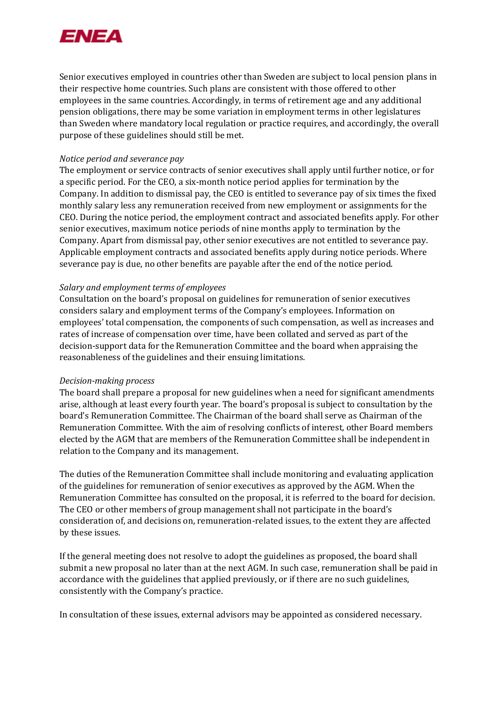

Senior executives employed in countries other than Sweden are subject to local pension plans in their respective home countries. Such plans are consistent with those offered to other employees in the same countries. Accordingly, in terms of retirement age and any additional pension obligations, there may be some variation in employment terms in other legislatures than Sweden where mandatory local regulation or practice requires, and accordingly, the overall purpose of these guidelines should still be met.

### *Notice period and severance pay*

The employment or service contracts of senior executives shall apply until further notice, or for a specific period. For the CEO, a six-month notice period applies for termination by the Company. In addition to dismissal pay, the CEO is entitled to severance pay of six times the fixed monthly salary less any remuneration received from new employment or assignments for the CEO. During the notice period, the employment contract and associated benefits apply. For other senior executives, maximum notice periods of nine months apply to termination by the Company. Apart from dismissal pay, other senior executives are not entitled to severance pay. Applicable employment contracts and associated benefits apply during notice periods. Where severance pay is due, no other benefits are payable after the end of the notice period.

## *Salary and employment terms of employees*

Consultation on the board's proposal on guidelines for remuneration of senior executives considers salary and employment terms of the Company's employees. Information on employees' total compensation, the components of such compensation, as well as increases and rates of increase of compensation over time, have been collated and served as part of the decision-support data for the Remuneration Committee and the board when appraising the reasonableness of the guidelines and their ensuing limitations.

### *Decision-making process*

The board shall prepare a proposal for new guidelines when a need for significant amendments arise, although at least every fourth year. The board's proposal is subject to consultation by the board's Remuneration Committee. The Chairman of the board shall serve as Chairman of the Remuneration Committee. With the aim of resolving conflicts of interest, other Board members elected by the AGM that are members of the Remuneration Committee shall be independent in relation to the Company and its management.

The duties of the Remuneration Committee shall include monitoring and evaluating application of the guidelines for remuneration of senior executives as approved by the AGM. When the Remuneration Committee has consulted on the proposal, it is referred to the board for decision. The CEO or other members of group management shall not participate in the board's consideration of, and decisions on, remuneration-related issues, to the extent they are affected by these issues.

If the general meeting does not resolve to adopt the guidelines as proposed, the board shall submit a new proposal no later than at the next AGM. In such case, remuneration shall be paid in accordance with the guidelines that applied previously, or if there are no such guidelines, consistently with the Company's practice.

In consultation of these issues, external advisors may be appointed as considered necessary.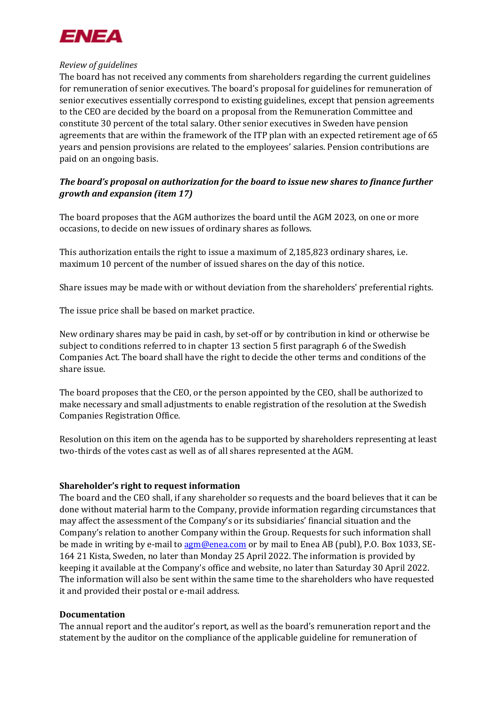

## *Review of guidelines*

The board has not received any comments from shareholders regarding the current guidelines for remuneration of senior executives. The board's proposal for guidelines for remuneration of senior executives essentially correspond to existing guidelines, except that pension agreements to the CEO are decided by the board on a proposal from the Remuneration Committee and constitute 30 percent of the total salary. Other senior executives in Sweden have pension agreements that are within the framework of the ITP plan with an expected retirement age of 65 years and pension provisions are related to the employees' salaries. Pension contributions are paid on an ongoing basis.

# *The board's proposal on authorization for the board to issue new shares to finance further growth and expansion (item 17)*

The board proposes that the AGM authorizes the board until the AGM 2023, on one or more occasions, to decide on new issues of ordinary shares as follows.

This authorization entails the right to issue a maximum of 2,185,823 ordinary shares, i.e. maximum 10 percent of the number of issued shares on the day of this notice.

Share issues may be made with or without deviation from the shareholders' preferential rights.

The issue price shall be based on market practice.

New ordinary shares may be paid in cash, by set-off or by contribution in kind or otherwise be subject to conditions referred to in chapter 13 section 5 first paragraph 6 of the Swedish Companies Act. The board shall have the right to decide the other terms and conditions of the share issue.

The board proposes that the CEO, or the person appointed by the CEO, shall be authorized to make necessary and small adjustments to enable registration of the resolution at the Swedish Companies Registration Office.

Resolution on this item on the agenda has to be supported by shareholders representing at least two-thirds of the votes cast as well as of all shares represented at the AGM.

### **Shareholder's right to request information**

The board and the CEO shall, if any shareholder so requests and the board believes that it can be done without material harm to the Company, provide information regarding circumstances that may affect the assessment of the Company's or its subsidiaries' financial situation and the Company's relation to another Company within the Group. Requests for such information shall be made in writing by e-mail to **agm@enea.com** or by mail to Enea AB (publ), P.O. Box 1033, SE-164 21 Kista, Sweden, no later than Monday 25 April 2022. The information is provided by keeping it available at the Company's office and website, no later than Saturday 30 April 2022. The information will also be sent within the same time to the shareholders who have requested it and provided their postal or e-mail address.

### **Documentation**

The annual report and the auditor's report, as well as the board's remuneration report and the statement by the auditor on the compliance of the applicable guideline for remuneration of